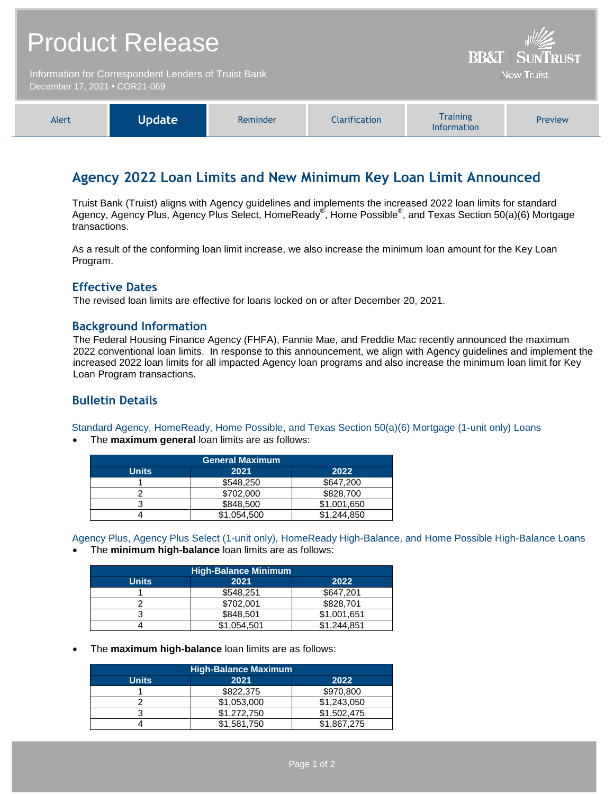| <b>Product Release</b>                                                                | <b>BB&amp;T   SUNTRUST</b> |
|---------------------------------------------------------------------------------------|----------------------------|
| Information for Correspondent Lenders of Truist Bank<br>December 17, 2021 • COR21-069 | <b>Now Truist</b>          |
|                                                                                       |                            |

| Update<br>Alert | Reminder | Clarification | <b>Training</b><br><b>Information</b> | <b>Preview</b> |
|-----------------|----------|---------------|---------------------------------------|----------------|
|-----------------|----------|---------------|---------------------------------------|----------------|

# **Agency 2022 Loan Limits and New Minimum Key Loan Limit Announced**

Truist Bank (Truist) aligns with Agency guidelines and implements the increased 2022 loan limits for standard Agency, Agency Plus, Agency Plus Select, HomeReady®, Home Possible®, and Texas Section 50(a)(6) Mortgage transactions.

As a result of the conforming loan limit increase, we also increase the minimum loan amount for the Key Loan Program.

## **Effective Dates**

The revised loan limits are effective for loans locked on or after December 20, 2021.

### **Background Information**

The Federal Housing Finance Agency (FHFA), Fannie Mae, and Freddie Mac recently announced the maximum 2022 conventional loan limits. In response to this announcement, we align with Agency guidelines and implement the increased 2022 loan limits for all impacted Agency loan programs and also increase the minimum loan limit for Key Loan Program transactions.

# **Bulletin Details**

Standard Agency, HomeReady, Home Possible, and Texas Section 50(a)(6) Mortgage (1-unit only) Loans

The **maximum general** loan limits are as follows:

| <b>General Maximum</b> |             |             |
|------------------------|-------------|-------------|
| <b>Units</b>           | 2021        | 2022        |
|                        | \$548,250   | \$647,200   |
|                        | \$702,000   | \$828,700   |
|                        | \$848,500   | \$1,001,650 |
|                        | \$1,054,500 | \$1,244,850 |

Agency Plus, Agency Plus Select (1-unit only), HomeReady High-Balance, and Home Possible High-Balance Loans

The **minimum high-balance** loan limits are as follows:

| <b>High-Balance Minimum</b> |             |             |  |
|-----------------------------|-------------|-------------|--|
| <b>Units</b>                | 2021        | 2022        |  |
|                             | \$548,251   | \$647,201   |  |
|                             | \$702.001   | \$828.701   |  |
|                             | \$848,501   | \$1,001,651 |  |
|                             | \$1,054,501 | \$1,244,851 |  |

The **maximum high-balance** loan limits are as follows:

| <b>High-Balance Maximum</b> |             |             |  |
|-----------------------------|-------------|-------------|--|
| <b>Units</b>                | 2021        | 2022        |  |
|                             | \$822,375   | \$970,800   |  |
|                             | \$1,053,000 | \$1,243,050 |  |
|                             | \$1,272,750 | \$1,502,475 |  |
|                             | \$1,581,750 | \$1,867,275 |  |